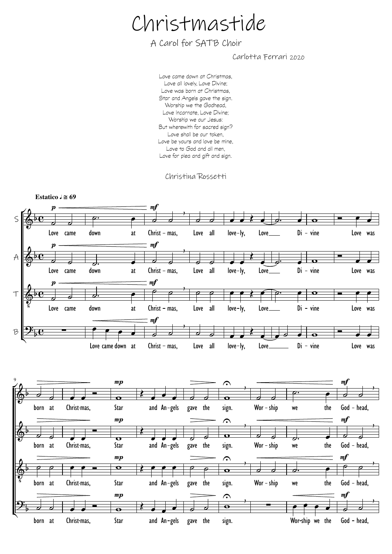## Christmastide

A Carol for SATB Choir

Carlotta Ferrari 2020

Love came down at Christmas, Love all lovely, Love Divine; Love was born at Christmas, Star and Angels gave the sign. Worship we the Godhead, Love Incarnate, Love Divine; Worship we our Jesus: But wherewith for sacred sign? Love shall be our token, Love be yours and love be mine, Love to God and all men, Love for plea and gift and sign.

Christina Rossetti